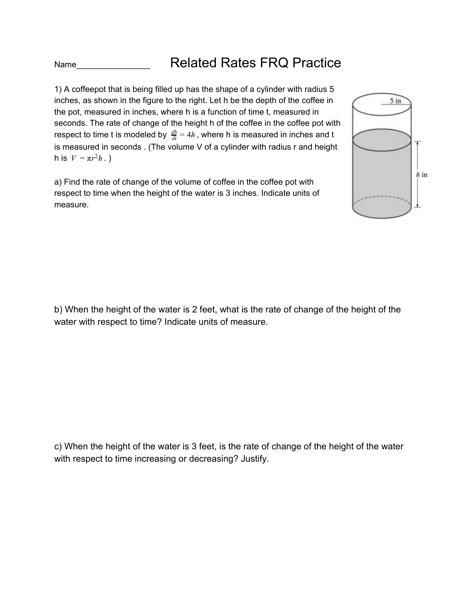Name **Name** Related Rates FRQ Practice

1) A coffeepot that is being filled up has the shape of a cylinder with radius 5 inches, as shown in the figure to the right. Let h be the depth of the coffee in the pot, measured in inches, where h is a function of time t, measured in seconds. The rate of change of the height h of the coffee in the coffee pot with respect to time t is modeled by  $\frac{dh}{dt} = 4h$  , where h is measured in inches and t is measured in seconds . (The volume V of a cylinder with radius r and height  $h$  is  $V = πr^2h$ .)

a) Find the rate of change of the volume of coffee in the coffee pot with respect to time when the height of the water is 3 inches. Indicate units of measure.



b) When the height of the water is 2 feet, what is the rate of change of the height of the water with respect to time? Indicate units of measure.

c) When the height of the water is 3 feet, is the rate of change of the height of the water with respect to time increasing or decreasing? Justify.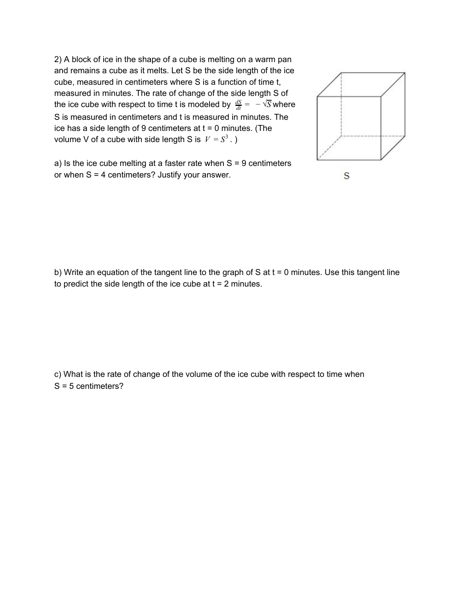2) A block of ice in the shape of a cube is melting on a warm pan and remains a cube as it melts. Let S be the side length of the ice cube, measured in centimeters where S is a function of time t, measured in minutes. The rate of change of the side length S of the ice cube with respect to time t is modeled by  $\frac{dS}{dt} = \ - \sqrt{S}$  where S is measured in centimeters and t is measured in minutes. The ice has a side length of 9 centimeters at  $t = 0$  minutes. (The volume V of a cube with side length S is  $V = S^3$  .)



a) Is the ice cube melting at a faster rate when  $S = 9$  centimeters or when  $S = 4$  centimeters? Justify your answer.

b) Write an equation of the tangent line to the graph of  $S$  at  $t = 0$  minutes. Use this tangent line to predict the side length of the ice cube at  $t = 2$  minutes.

c) What is the rate of change of the volume of the ice cube with respect to time when S = 5 centimeters?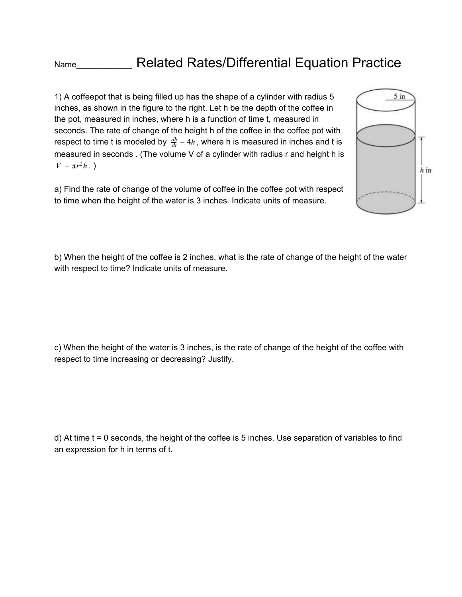Name\_\_\_\_\_\_\_\_\_\_\_\_\_\_\_\_ Related Rates/Differential Equation Practice

1) A coffeepot that is being filled up has the shape of a cylinder with radius 5 inches, as shown in the figure to the right. Let h be the depth of the coffee in the pot, measured in inches, where h is a function of time t, measured in seconds. The rate of change of the height h of the coffee in the coffee pot with respect to time t is modeled by  $\frac{dh}{dt} = 4h$  , where h is measured in inches and t is measured in seconds . (The volume V of a cylinder with radius r and height h is  $V = \pi r^2 h$ .

a) Find the rate of change of the volume of coffee in the coffee pot with respect to time when the height of the water is 3 inches. Indicate units of measure.



b) When the height of the coffee is 2 inches, what is the rate of change of the height of the water with respect to time? Indicate units of measure.

c) When the height of the water is 3 inches, is the rate of change of the height of the coffee with respect to time increasing or decreasing? Justify.

d) At time t = 0 seconds, the height of the coffee is 5 inches. Use separation of variables to find an expression for h in terms of t.